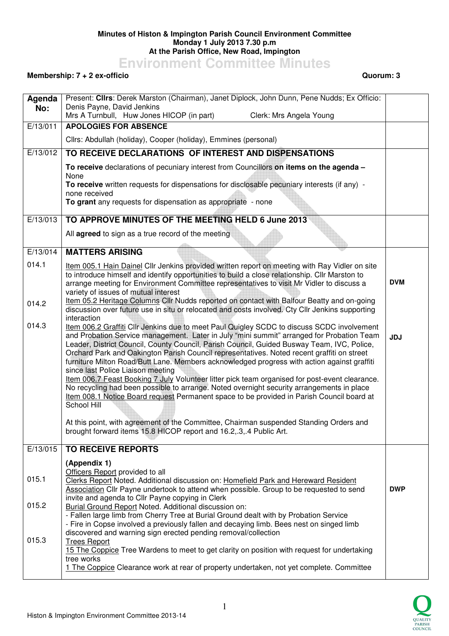## **Minutes of Histon & Impington Parish Council Environment Committee Monday 1 July 2013 7.30 p.m At the Parish Office, New Road, Impington**

**Environment Committee Minutes** 

## **Membership: 7 + 2 ex-officio Quorum: 3**

| Agenda   | Present: Clirs: Derek Marston (Chairman), Janet Diplock, John Dunn, Pene Nudds; Ex Officio:<br>Denis Payne, David Jenkins                                                                                                                                                                                                                                                                                                                                                                                                                                                                                                                                                                                                                                                                                                          |            |
|----------|------------------------------------------------------------------------------------------------------------------------------------------------------------------------------------------------------------------------------------------------------------------------------------------------------------------------------------------------------------------------------------------------------------------------------------------------------------------------------------------------------------------------------------------------------------------------------------------------------------------------------------------------------------------------------------------------------------------------------------------------------------------------------------------------------------------------------------|------------|
| No:      | Mrs A Turnbull, Huw Jones HICOP (in part)<br>Clerk: Mrs Angela Young                                                                                                                                                                                                                                                                                                                                                                                                                                                                                                                                                                                                                                                                                                                                                               |            |
| E/13/011 | <b>APOLOGIES FOR ABSENCE</b>                                                                                                                                                                                                                                                                                                                                                                                                                                                                                                                                                                                                                                                                                                                                                                                                       |            |
|          | Cllrs: Abdullah (holiday), Cooper (holiday), Emmines (personal)                                                                                                                                                                                                                                                                                                                                                                                                                                                                                                                                                                                                                                                                                                                                                                    |            |
| E/13/012 | TO RECEIVE DECLARATIONS OF INTEREST AND DISPENSATIONS                                                                                                                                                                                                                                                                                                                                                                                                                                                                                                                                                                                                                                                                                                                                                                              |            |
|          | To receive declarations of pecuniary interest from Councillors on items on the agenda -<br>None                                                                                                                                                                                                                                                                                                                                                                                                                                                                                                                                                                                                                                                                                                                                    |            |
|          | To receive written requests for dispensations for disclosable pecuniary interests (if any) -<br>none received                                                                                                                                                                                                                                                                                                                                                                                                                                                                                                                                                                                                                                                                                                                      |            |
|          | To grant any requests for dispensation as appropriate - none                                                                                                                                                                                                                                                                                                                                                                                                                                                                                                                                                                                                                                                                                                                                                                       |            |
| E/13/013 | TO APPROVE MINUTES OF THE MEETING HELD 6 June 2013                                                                                                                                                                                                                                                                                                                                                                                                                                                                                                                                                                                                                                                                                                                                                                                 |            |
|          | All agreed to sign as a true record of the meeting                                                                                                                                                                                                                                                                                                                                                                                                                                                                                                                                                                                                                                                                                                                                                                                 |            |
| E/13/014 | <b>MATTERS ARISING</b>                                                                                                                                                                                                                                                                                                                                                                                                                                                                                                                                                                                                                                                                                                                                                                                                             |            |
| 014.1    | Item 005.1 Hain Dainel Cllr Jenkins provided written report on meeting with Ray Vidler on site<br>to introduce himself and identify opportunities to build a close relationship. Cllr Marston to<br>arrange meeting for Environment Committee representatives to visit Mr Vidler to discuss a<br>variety of issues of mutual interest                                                                                                                                                                                                                                                                                                                                                                                                                                                                                              | <b>DVM</b> |
| 014.2    | Item 05.2 Heritage Columns Cllr Nudds reported on contact with Balfour Beatty and on-going<br>discussion over future use in situ or relocated and costs involved. Cty Cllr Jenkins supporting<br>interaction                                                                                                                                                                                                                                                                                                                                                                                                                                                                                                                                                                                                                       |            |
| 014.3    | Item 006.2 Graffiti Cllr Jenkins due to meet Paul Quigley SCDC to discuss SCDC involvement<br>and Probation Service management. Later in July "mini summit" arranged for Probation Team<br>Leader, District Council, County Council, Parish Council, Guided Busway Team, IVC, Police,<br>Orchard Park and Oakington Parish Council representatives. Noted recent graffiti on street<br>furniture Milton Road/Butt Lane. Members acknowledged progress with action against graffiti<br>since last Police Liaison meeting<br>Item 006.7 Feast Booking 7 July Volunteer litter pick team organised for post-event clearance.<br>No recycling had been possible to arrange. Noted overnight security arrangements in place<br>Item 008.1 Notice Board request Permanent space to be provided in Parish Council board at<br>School Hill | <b>JDJ</b> |
|          | At this point, with agreement of the Committee, Chairman suspended Standing Orders and<br>brought forward items 15.8 HICOP report and 16.2,.3,.4 Public Art.                                                                                                                                                                                                                                                                                                                                                                                                                                                                                                                                                                                                                                                                       |            |
| E/13/015 | <b>TO RECEIVE REPORTS</b>                                                                                                                                                                                                                                                                                                                                                                                                                                                                                                                                                                                                                                                                                                                                                                                                          |            |
| 015.1    | (Appendix 1)<br>Officers Report provided to all<br>Clerks Report Noted. Additional discussion on: Homefield Park and Hereward Resident<br>Association Cllr Payne undertook to attend when possible. Group to be requested to send                                                                                                                                                                                                                                                                                                                                                                                                                                                                                                                                                                                                  | <b>DWP</b> |
| 015.2    | invite and agenda to Cllr Payne copying in Clerk<br>Burial Ground Report Noted. Additional discussion on:<br>- Fallen large limb from Cherry Tree at Burial Ground dealt with by Probation Service<br>- Fire in Copse involved a previously fallen and decaying limb. Bees nest on singed limb<br>discovered and warning sign erected pending removal/collection                                                                                                                                                                                                                                                                                                                                                                                                                                                                   |            |
| 015.3    | <b>Trees Report</b><br>15 The Coppice Tree Wardens to meet to get clarity on position with request for undertaking<br>tree works<br>1 The Coppice Clearance work at rear of property undertaken, not yet complete. Committee                                                                                                                                                                                                                                                                                                                                                                                                                                                                                                                                                                                                       |            |

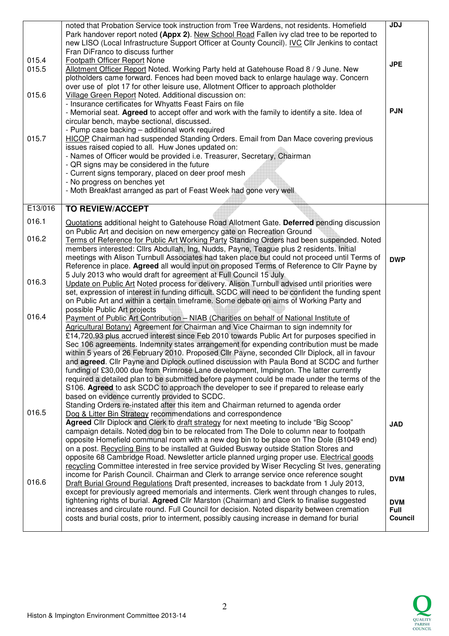| 015.4<br>015.5<br>015.6 | noted that Probation Service took instruction from Tree Wardens, not residents. Homefield<br>Park handover report noted (Appx 2). New School Road Fallen ivy clad tree to be reported to<br>new LISO (Local Infrastructure Support Officer at County Council). IVC Cllr Jenkins to contact<br>Fran DiFranco to discuss further<br>Footpath Officer Report None<br>Allotment Officer Report Noted. Working Party held at Gatehouse Road 8 / 9 June. New<br>plotholders came forward. Fences had been moved back to enlarge haulage way. Concern<br>over use of plot 17 for other leisure use, Allotment Officer to approach plotholder<br>Village Green Report Noted. Additional discussion on:                                                                                                                                                                                                                                                                                                                                      | <b>JDJ</b><br><b>JPE</b>             |
|-------------------------|-------------------------------------------------------------------------------------------------------------------------------------------------------------------------------------------------------------------------------------------------------------------------------------------------------------------------------------------------------------------------------------------------------------------------------------------------------------------------------------------------------------------------------------------------------------------------------------------------------------------------------------------------------------------------------------------------------------------------------------------------------------------------------------------------------------------------------------------------------------------------------------------------------------------------------------------------------------------------------------------------------------------------------------|--------------------------------------|
| 015.7                   | - Insurance certificates for Whyatts Feast Fairs on file<br>- Memorial seat. Agreed to accept offer and work with the family to identify a site. Idea of<br>circular bench, maybe sectional, discussed.<br>- Pump case backing - additional work required<br><b>HICOP</b> Chairman had suspended Standing Orders. Email from Dan Mace covering previous<br>issues raised copied to all. Huw Jones updated on:                                                                                                                                                                                                                                                                                                                                                                                                                                                                                                                                                                                                                       | <b>PJN</b>                           |
|                         | - Names of Officer would be provided i.e. Treasurer, Secretary, Chairman<br>- QR signs may be considered in the future<br>- Current signs temporary, placed on deer proof mesh<br>- No progress on benches yet<br>- Moth Breakfast arranged as part of Feast Week had gone very well                                                                                                                                                                                                                                                                                                                                                                                                                                                                                                                                                                                                                                                                                                                                                |                                      |
| E13/016                 | <b>TO REVIEW/ACCEPT</b>                                                                                                                                                                                                                                                                                                                                                                                                                                                                                                                                                                                                                                                                                                                                                                                                                                                                                                                                                                                                             |                                      |
| 016.1                   | Quotations additional height to Gatehouse Road Allotment Gate. Deferred pending discussion<br>on Public Art and decision on new emergency gate on Recreation Ground                                                                                                                                                                                                                                                                                                                                                                                                                                                                                                                                                                                                                                                                                                                                                                                                                                                                 |                                      |
| 016.2                   | Terms of Reference for Public Art Working Party Standing Orders had been suspended. Noted<br>members interested: Cllrs Abdullah, Ing, Nudds, Payne, Teague plus 2 residents. Initial                                                                                                                                                                                                                                                                                                                                                                                                                                                                                                                                                                                                                                                                                                                                                                                                                                                |                                      |
|                         | meetings with Alison Turnbull Associates had taken place but could not proceed until Terms of<br>Reference in place. Agreed all would input on proposed Terms of Reference to Cllr Payne by<br>5 July 2013 who would draft for agreement at Full Council 15 July                                                                                                                                                                                                                                                                                                                                                                                                                                                                                                                                                                                                                                                                                                                                                                    | <b>DWP</b>                           |
| 016.3                   | Update on Public Art Noted process for delivery. Alison Turnbull advised until priorities were<br>set, expression of interest in funding difficult. SCDC will need to be confident the funding spent<br>on Public Art and within a certain timeframe. Some debate on aims of Working Party and                                                                                                                                                                                                                                                                                                                                                                                                                                                                                                                                                                                                                                                                                                                                      |                                      |
| 016.4                   | possible Public Art projects<br>Payment of Public Art Contribution - NIAB (Charities on behalf of National Institute of<br>Agricultural Botany) Agreement for Chairman and Vice Chairman to sign indemnity for<br>£14,720.93 plus accrued interest since Feb 2010 towards Public Art for purposes specified in<br>Sec 106 agreements. Indemnity states arrangement for expending contribution must be made<br>within 5 years of 26 February 2010. Proposed Cllr Payne, seconded Cllr Diplock, all in favour<br>and agreed. Cllr Payne and Diplock outlined discussion with Paula Bond at SCDC and further<br>funding of £30,000 due from Primrose Lane development, Impington. The latter currently<br>required a detailed plan to be submitted before payment could be made under the terms of the<br>S106. Agreed to ask SCDC to approach the developer to see if prepared to release early<br>based on evidence currently provided to SCDC.<br>Standing Orders re-instated after this item and Chairman returned to agenda order |                                      |
| 016.5                   | Dog & Litter Bin Strategy recommendations and correspondence<br>Agreed Cllr Diplock and Clerk to draft strategy for next meeting to include "Big Scoop"<br>campaign details. Noted dog bin to be relocated from The Dole to column near to footpath<br>opposite Homefield communal room with a new dog bin to be place on The Dole (B1049 end)<br>on a post. Recycling Bins to be installed at Guided Busway outside Station Stores and<br>opposite 68 Cambridge Road. Newsletter article planned urging proper use. Electrical goods<br>recycling Committee interested in free service provided by Wiser Recycling St Ives, generating                                                                                                                                                                                                                                                                                                                                                                                             | <b>JAD</b>                           |
| 016.6                   | income for Parish Council. Chairman and Clerk to arrange service once reference sought<br>Draft Burial Ground Regulations Draft presented, increases to backdate from 1 July 2013,<br>except for previously agreed memorials and interments. Clerk went through changes to rules,                                                                                                                                                                                                                                                                                                                                                                                                                                                                                                                                                                                                                                                                                                                                                   | <b>DVM</b>                           |
|                         | tightening rights of burial. Agreed Cllr Marston (Chairman) and Clerk to finalise suggested<br>increases and circulate round. Full Council for decision. Noted disparity between cremation<br>costs and burial costs, prior to interment, possibly causing increase in demand for burial                                                                                                                                                                                                                                                                                                                                                                                                                                                                                                                                                                                                                                                                                                                                            | <b>DVM</b><br><b>Full</b><br>Council |